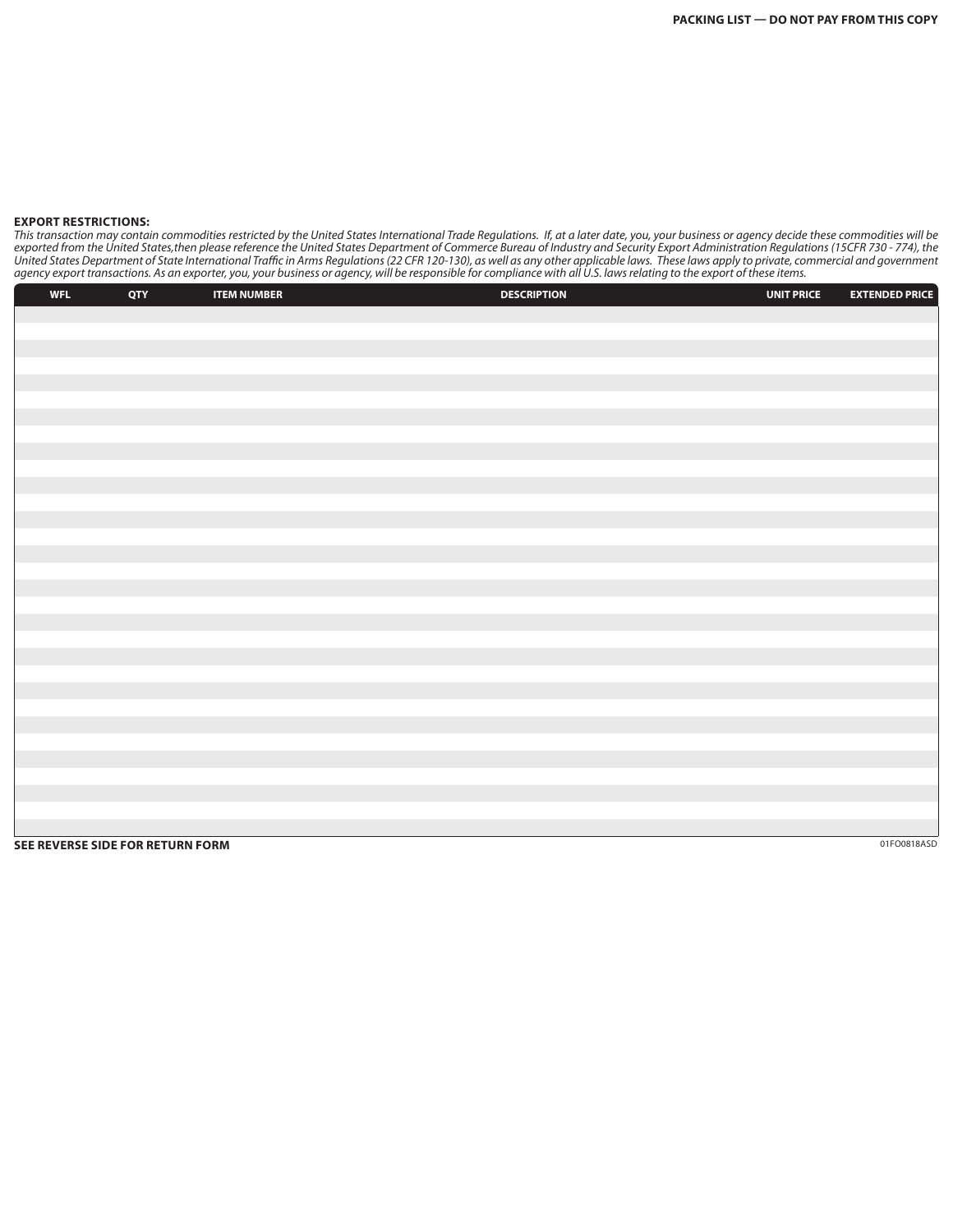## **EXPORT RESTRICTIONS:**

*This transaction may contain commodities restricted by the United States International Trade Regulations. If, at a later date, you, your business or agency decide these commodities will be*  exported from the United States,then please reference the United States Department of Commerce Bureau of Industry and Security Export Administration Regulations (15CFR 730 - 774), the *United States Department of State International Traffic in Arms Regulations (22 CFR 120-130), as well as any other applicable laws. These laws apply to private, commercial and government agency export transactions. As an exporter, you, your business or agency, will be responsible for compliance with all U.S. laws relating to the export of these items.*

| <b>WFL</b> | QTY                              | <b>ITEM NUMBER</b> | <b>DESCRIPTION</b> | <b>UNIT PRICE</b> | <b>EXTENDED PRICE</b> |
|------------|----------------------------------|--------------------|--------------------|-------------------|-----------------------|
|            |                                  |                    |                    |                   |                       |
|            |                                  |                    |                    |                   |                       |
|            |                                  |                    |                    |                   |                       |
|            |                                  |                    |                    |                   |                       |
|            |                                  |                    |                    |                   |                       |
|            |                                  |                    |                    |                   |                       |
|            |                                  |                    |                    |                   |                       |
|            |                                  |                    |                    |                   |                       |
|            |                                  |                    |                    |                   |                       |
|            |                                  |                    |                    |                   |                       |
|            |                                  |                    |                    |                   |                       |
|            |                                  |                    |                    |                   |                       |
|            |                                  |                    |                    |                   |                       |
|            |                                  |                    |                    |                   |                       |
|            |                                  |                    |                    |                   |                       |
|            |                                  |                    |                    |                   |                       |
|            |                                  |                    |                    |                   |                       |
|            |                                  |                    |                    |                   |                       |
|            |                                  |                    |                    |                   |                       |
|            |                                  |                    |                    |                   |                       |
|            |                                  |                    |                    |                   |                       |
|            |                                  |                    |                    |                   |                       |
|            |                                  |                    |                    |                   |                       |
|            |                                  |                    |                    |                   |                       |
|            |                                  |                    |                    |                   |                       |
|            |                                  |                    |                    |                   |                       |
|            |                                  |                    |                    |                   |                       |
|            | SEE REVERSE SIDE FOR RETURN FORM |                    |                    |                   | 01FO0818ASD           |